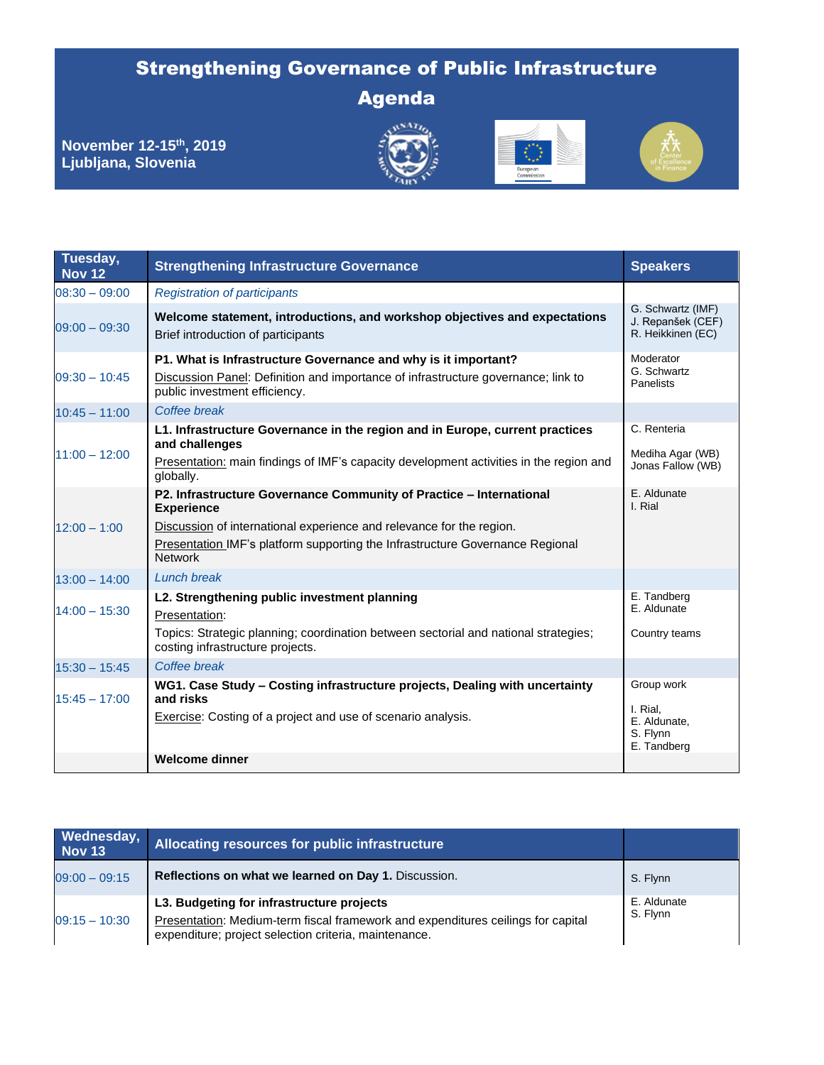## Strengthening Governance of Public Infrastructure

Agenda

**November 12-15th, 2019 Ljubljana, Slovenia** 







| Tuesday,<br><b>Nov 12</b> | <b>Strengthening Infrastructure Governance</b>                                                                                                                                       | <b>Speakers</b>                                             |
|---------------------------|--------------------------------------------------------------------------------------------------------------------------------------------------------------------------------------|-------------------------------------------------------------|
| $08:30 - 09:00$           | <b>Registration of participants</b>                                                                                                                                                  |                                                             |
| $09:00 - 09:30$           | Welcome statement, introductions, and workshop objectives and expectations<br>Brief introduction of participants                                                                     | G. Schwartz (IMF)<br>J. Repanšek (CEF)<br>R. Heikkinen (EC) |
| $09:30 - 10:45$           | P1. What is Infrastructure Governance and why is it important?<br>Discussion Panel: Definition and importance of infrastructure governance; link to<br>public investment efficiency. | Moderator<br>G. Schwartz<br><b>Panelists</b>                |
| $10:45 - 11:00$           | Coffee break                                                                                                                                                                         |                                                             |
| $11:00 - 12:00$           | L1. Infrastructure Governance in the region and in Europe, current practices<br>and challenges                                                                                       | C. Renteria<br>Mediha Agar (WB)                             |
|                           | Presentation: main findings of IMF's capacity development activities in the region and<br>globally.                                                                                  | Jonas Fallow (WB)                                           |
|                           | P2. Infrastructure Governance Community of Practice - International<br><b>Experience</b>                                                                                             | E. Aldunate<br>I. Rial                                      |
| $12:00 - 1:00$            | Discussion of international experience and relevance for the region.                                                                                                                 |                                                             |
|                           | Presentation IMF's platform supporting the Infrastructure Governance Regional<br><b>Network</b>                                                                                      |                                                             |
| $13:00 - 14:00$           | <b>Lunch break</b>                                                                                                                                                                   |                                                             |
| $14:00 - 15:30$           | L2. Strengthening public investment planning<br>Presentation:                                                                                                                        | E. Tandberg<br>E. Aldunate                                  |
|                           | Topics: Strategic planning; coordination between sectorial and national strategies;<br>costing infrastructure projects.                                                              | Country teams                                               |
| $15:30 - 15:45$           | Coffee break                                                                                                                                                                         |                                                             |
| $15:45 - 17:00$           | WG1. Case Study - Costing infrastructure projects, Dealing with uncertainty<br>and risks                                                                                             | Group work                                                  |
|                           | Exercise: Costing of a project and use of scenario analysis.                                                                                                                         | I. Rial,<br>E. Aldunate,<br>S. Flynn<br>E. Tandberg         |
|                           | <b>Welcome dinner</b>                                                                                                                                                                |                                                             |

| Wednesday,<br><b>Nov 13</b> | Allocating resources for public infrastructure                                                                                                                                         |                         |
|-----------------------------|----------------------------------------------------------------------------------------------------------------------------------------------------------------------------------------|-------------------------|
| $09:00 - 09:15$             | Reflections on what we learned on Day 1. Discussion.                                                                                                                                   | S. Flynn                |
| $09:15 - 10:30$             | L3. Budgeting for infrastructure projects<br>Presentation: Medium-term fiscal framework and expenditures ceilings for capital<br>expenditure; project selection criteria, maintenance. | E. Aldunate<br>S. Flynn |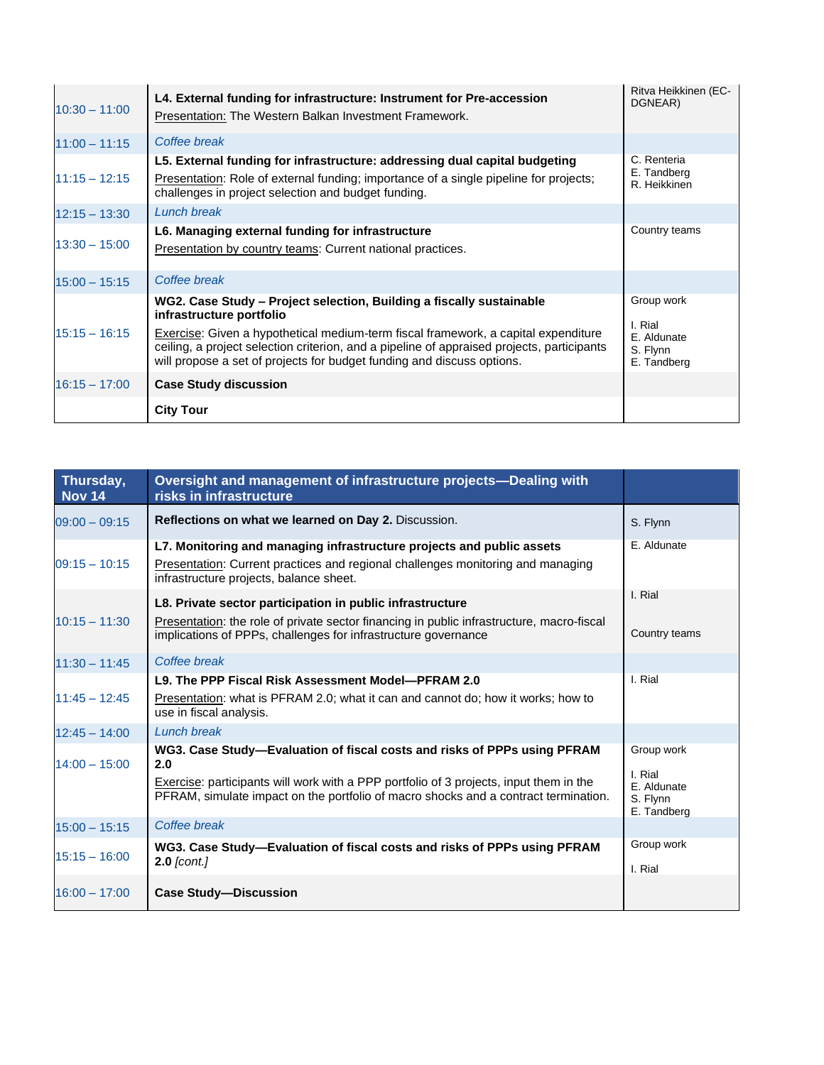| $10:30 - 11:00$ | L4. External funding for infrastructure: Instrument for Pre-accession<br>Presentation: The Western Balkan Investment Framework.                                                                                                                                                                                                                                | Ritva Heikkinen (EC-<br>DGNEAR)                                 |
|-----------------|----------------------------------------------------------------------------------------------------------------------------------------------------------------------------------------------------------------------------------------------------------------------------------------------------------------------------------------------------------------|-----------------------------------------------------------------|
| $11:00 - 11:15$ | Coffee break                                                                                                                                                                                                                                                                                                                                                   |                                                                 |
| $11:15 - 12:15$ | L5. External funding for infrastructure: addressing dual capital budgeting<br>Presentation: Role of external funding; importance of a single pipeline for projects;<br>challenges in project selection and budget funding.                                                                                                                                     | C. Renteria<br>E. Tandberg<br>R. Heikkinen                      |
| $12:15 - 13:30$ | <b>Lunch break</b>                                                                                                                                                                                                                                                                                                                                             |                                                                 |
| $13:30 - 15:00$ | L6. Managing external funding for infrastructure<br>Presentation by country teams: Current national practices.                                                                                                                                                                                                                                                 | Country teams                                                   |
| $15:00 - 15:15$ | Coffee break                                                                                                                                                                                                                                                                                                                                                   |                                                                 |
| $15:15 - 16:15$ | WG2. Case Study - Project selection, Building a fiscally sustainable<br>infrastructure portfolio<br>Exercise: Given a hypothetical medium-term fiscal framework, a capital expenditure<br>ceiling, a project selection criterion, and a pipeline of appraised projects, participants<br>will propose a set of projects for budget funding and discuss options. | Group work<br>I. Rial<br>E. Aldunate<br>S. Flynn<br>E. Tandberg |
| $16:15 - 17:00$ | <b>Case Study discussion</b>                                                                                                                                                                                                                                                                                                                                   |                                                                 |
|                 | <b>City Tour</b>                                                                                                                                                                                                                                                                                                                                               |                                                                 |

| Thursday,<br><b>Nov 14</b> | Oversight and management of infrastructure projects-Dealing with<br>risks in infrastructure                                                                                                                                                                      |                                                                 |
|----------------------------|------------------------------------------------------------------------------------------------------------------------------------------------------------------------------------------------------------------------------------------------------------------|-----------------------------------------------------------------|
| $09:00 - 09:15$            | Reflections on what we learned on Day 2. Discussion.                                                                                                                                                                                                             | S. Flynn                                                        |
| $09:15 - 10:15$            | L7. Monitoring and managing infrastructure projects and public assets<br>Presentation: Current practices and regional challenges monitoring and managing<br>infrastructure projects, balance sheet.                                                              | E. Aldunate                                                     |
| $10:15 - 11:30$            | L8. Private sector participation in public infrastructure<br>Presentation: the role of private sector financing in public infrastructure, macro-fiscal<br>implications of PPPs, challenges for infrastructure governance                                         | I. Rial<br>Country teams                                        |
| $11:30 - 11:45$            | Coffee break                                                                                                                                                                                                                                                     |                                                                 |
| $11:45 - 12:45$            | L9. The PPP Fiscal Risk Assessment Model-PFRAM 2.0<br>Presentation: what is PFRAM 2.0; what it can and cannot do; how it works; how to<br>use in fiscal analysis.                                                                                                | I. Rial                                                         |
| $12:45 - 14:00$            | Lunch break                                                                                                                                                                                                                                                      |                                                                 |
| $14:00 - 15:00$            | WG3. Case Study—Evaluation of fiscal costs and risks of PPPs using PFRAM<br>2.0<br>Exercise: participants will work with a PPP portfolio of 3 projects, input them in the<br>PFRAM, simulate impact on the portfolio of macro shocks and a contract termination. | Group work<br>I. Rial<br>E. Aldunate<br>S. Flynn<br>E. Tandberg |
| $15:00 - 15:15$            | Coffee break                                                                                                                                                                                                                                                     |                                                                 |
| $15:15 - 16:00$            | WG3. Case Study-Evaluation of fiscal costs and risks of PPPs using PFRAM<br>$2.0$ [cont.]                                                                                                                                                                        | Group work<br>I. Rial                                           |
| $16:00 - 17:00$            | <b>Case Study-Discussion</b>                                                                                                                                                                                                                                     |                                                                 |